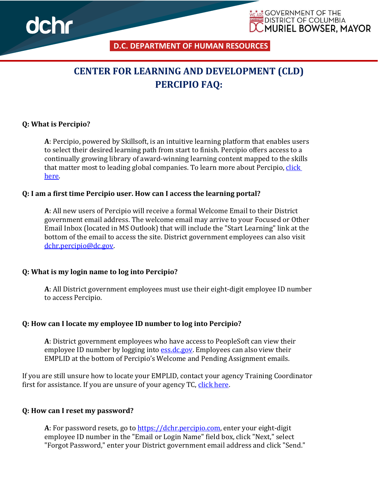

**D.C. DEPARTMENT OF HUMAN RESOURCES** 

<u>አል</u> GOVERNMENT OF THE **DISTRICT OF COLUMBIA** 

**MURIEL BOWSER, MAYOR** 

# **CENTER FOR LEARNING AND DEVELOPMENT (CLD) PERCIPIO FAQ:**

#### **Q: What is Percipio?**

**A**: Percipio, powered by Skillsoft, is an intuitive learning platform that enables users to select their desired learning path from start to finish. Percipio offers access to a continually growing library of award-winning learning content mapped to the skills that matter most to leading global companies. To learn more about Percipio, click [here.](https://dchr.dc.gov/page/percipio)

#### **Q: I am a first time Percipio user. How can I access the learning portal?**

**A**: All new users of Percipio will receive a formal Welcome Email to their District government email address. The welcome email may arrive to your Focused or Other Email Inbox (located in MS Outlook) that will include the "Start Learning" link at the bottom of the email to access the site. District government employees can also visit [dchr.percipio@dc.gov.](https://dcgovict-my.sharepoint.com/personal/adrienne_douglas_dc_gov/Documents/Desktop/Step%20by-%20Step%20Guides/dchr.percipio@dc.gov)

#### **Q: What is my login name to log into Percipio?**

**A**: All District government employees must use their eight-digit employee ID number to access Percipio.

#### **Q: How can I locate my employee ID number to log into Percipio?**

**A**: District government employees who have access to PeopleSoft can view their employee ID number by logging into [ess.dc.gov.](https://ess.dc.gov/) Employees can also view their EMPLID at the bottom of Percipio's Welcome and Pending Assignment emails.

If you are still unsure how to locate your EMPLID, contact your agency Training Coordinator first for assistance. If you are unsure of your agency TC, [click here.](https://dchr.dc.gov/page/training-coordinator-directory)

#### **Q: How can I reset my password?**

**A**: For password resets, go to [https://dchr.percipio.com,](https://dchr.percipio.com/) enter your eight-digit employee ID number in the "Email or Login Name" field box, click "Next," select "Forgot Password," enter your District government email address and click "Send."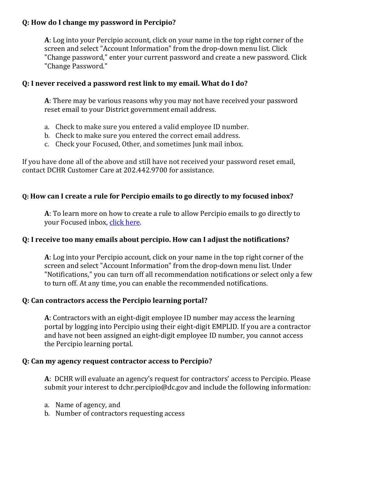## **Q: How do I change my password in Percipio?**

**A**: Log into your Percipio account, click on your name in the top right corner of the screen and select "Account Information" from the drop-down menu list. Click "Change password," enter your current password and create a new password. Click "Change Password."

## **Q: I never received a password rest link to my email. What do I do?**

**A**: There may be various reasons why you may not have received your password reset email to your District government email address.

- a. Check to make sure you entered a valid employee ID number.
- b. Check to make sure you entered the correct email address.
- c. Check your Focused, Other, and sometimes Junk mail inbox.

If you have done all of the above and still have not received your password reset email, contact DCHR Customer Care at 202.442.9700 for assistance.

# **Q: How can I create a rule for Percipio emails to go directly to my focused inbox?**

**A**: To learn more on how to create a rule to allow Percipio emails to go directly to your Focused inbox, [click here.](https://support.microsoft.com/en-us/office/how-to-set-up-rules-in-outlook-75ab719a-2ce8-49a7-a214-6d62b67cbd41)

## **Q: I receive too many emails about percipio. How can I adjust the notifications?**

**A**: Log into your Percipio account, click on your name in the top right corner of the screen and select "Account Information" from the drop-down menu list. Under "Notifications," you can turn off all recommendation notifications or select only a few to turn off. At any time, you can enable the recommended notifications.

#### **Q: Can contractors access the Percipio learning portal?**

**A**: Contractors with an eight-digit employee ID number may access the learning portal by logging into Percipio using their eight-digit EMPLID. If you are a contractor and have not been assigned an eight-digit employee ID number, you cannot access the Percipio learning portal.

#### **Q: Can my agency request contractor access to Percipio?**

**A**: DCHR will evaluate an agency's request for contractors' access to Percipio. Please submit your interest to dchr.percipio@dc.gov and include the following information:

- a. Name of agency, and
- b. Number of contractors requesting access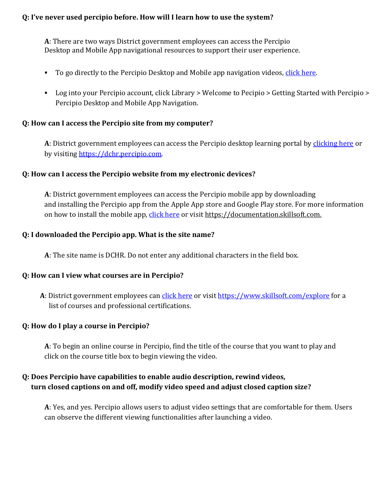# **Q: I've never used percipio before. How will I learn how to use the system?**

**A**: There are two ways District government employees can access the Percipio Desktop and Mobile App navigational resources to support their user experience.

- To go directly to the Percipio Desktop and Mobile app navigation videos, [click here.](https://dchr.dc.gov/page/percipio)
- Log into your Percipio account, click Library > Welcome to Pecipio > Getting Started with Percipio > Percipio Desktop and Mobile App Navigation.

#### **Q: How can I access the Percipio site from my computer?**

**A**: District government employees can access the Percipio desktop learning portal by [clicking here](https://dchr.percipio.com/) or by visiting [https://dchr.percipio.com.](https://dchr.percipio.com/)

#### **Q: How can I access the Percipio website from my electronic devices?**

**A**: District government employees can access the Percipio mobile app by downloading and installing the Percipio app from the Apple App store and Google Play store. For more information on how to install the mobile app, [click here](https://documentation.skillsoft.com/) or visit [https://documentation.skillsoft.com.](https://documentation.skillsoft.com./)

## **Q: I downloaded the Percipio app. What is the site name?**

**A**: The site name is DCHR. Do not enter any additional characters in the field box.

#### **Q: How can I view what courses are in Percipio?**

A: District government employees can [click here](https://www.skillsoft.com/explore) or visit<https://www.skillsoft.com/explore> for a list of courses and professional certifications.

# **Q: How do I play a course in Percipio?**

**A**: To begin an online course in Percipio, find the title of the course that you want to play and click on the course title box to begin viewing the video.

# **Q: Does Percipio have capabilities to enable audio description, rewind videos, turn closed captions on and off, modify video speed and adjust closed caption size?**

**A**: Yes, and yes. Percipio allows users to adjust video settings that are comfortable for them. Users can observe the different viewing functionalities after launching a video.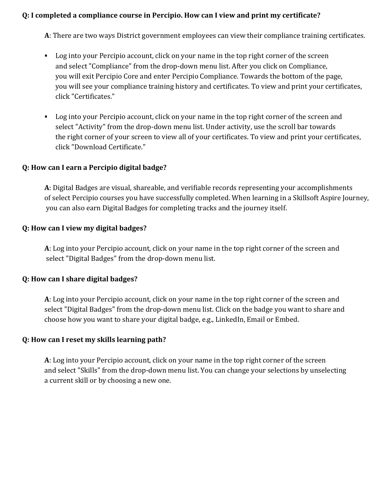## **Q: I completed a compliance course in Percipio. How can I view and print my certificate?**

**A**: There are two ways District government employees can view their compliance training certificates.

- **•** Log into your Percipio account, click on your name in the top right corner of the screen and select "Compliance" from the drop-down menu list. After you click on Compliance, you will exit Percipio Core and enter Percipio Compliance. Towards the bottom of the page, you will see your compliance training history and certificates. To view and print your certificates, click "Certificates."
- Log into your Percipio account, click on your name in the top right corner of the screen and select "Activity" from the drop-down menu list. Under activity, use the scroll bar towards the right corner of your screen to view all of your certificates. To view and print your certificates, click "Download Certificate."

#### **Q: How can I earn a Percipio digital badge?**

**A**: Digital Badges are visual, shareable, and verifiable records representing your accomplishments of select Percipio courses you have successfully completed. When learning in a Skillsoft Aspire Journey, you can also earn Digital Badges for completing tracks and the journey itself.

#### **Q: How can I view my digital badges?**

**A**: Log into your Percipio account, click on your name in the top right corner of the screen and select "Digital Badges" from the drop-down menu list.

#### **Q: How can I share digital badges?**

**A**: Log into your Percipio account, click on your name in the top right corner of the screen and select "Digital Badges" from the drop-down menu list. Click on the badge you want to share and choose how you want to share your digital badge, e.g., LinkedIn, Email or Embed.

#### **Q: How can I reset my skills learning path?**

**A**: Log into your Percipio account, click on your name in the top right corner of the screen and select "Skills" from the drop-down menu list. You can change your selections by unselecting a current skill or by choosing a new one.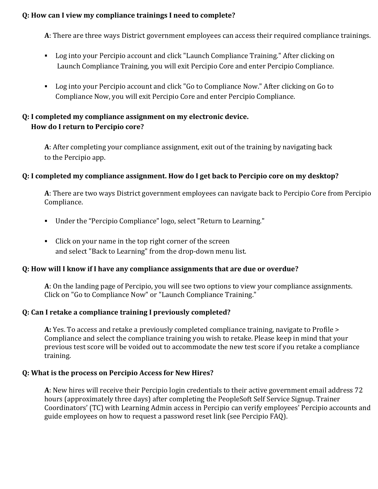## **Q: How can I view my compliance trainings I need to complete?**

**A**: There are three ways District government employees can access their required compliance trainings.

- Log into your Percipio account and click "Launch Compliance Training." After clicking on Launch Compliance Training, you will exit Percipio Core and enter Percipio Compliance.
- Log into your Percipio account and click "Go to Compliance Now." After clicking on Go to Compliance Now, you will exit Percipio Core and enter Percipio Compliance.

# **Q: I completed my compliance assignment on my electronic device. How do I return to Percipio core?**

**A**: After completing your compliance assignment, exit out of the training by navigating back to the Percipio app.

#### **Q: I completed my compliance assignment. How do I get back to Percipio core on my desktop?**

**A**: There are two ways District government employees can navigate back to Percipio Core from Percipio Compliance.

- Under the "Percipio Compliance" logo, select "Return to Learning."
- Click on your name in the top right corner of the screen and select "Back to Learning" from the drop-down menu list.

#### **Q: How will I know if I have any compliance assignments that are due or overdue?**

**A**: On the landing page of Percipio, you will see two options to view your compliance assignments. Click on "Go to Compliance Now" or "Launch Compliance Training."

#### **Q: Can I retake a compliance training I previously completed?**

**A:** Yes. To access and retake a previously completed compliance training, navigate to Profile > Compliance and select the compliance training you wish to retake. Please keep in mind that your previous test score will be voided out to accommodate the new test score if you retake a compliance training.

#### **Q: What is the process on Percipio Access for New Hires?**

**A**: New hires will receive their Percipio login credentials to their active government email address 72 hours (approximately three days) after completing the PeopleSoft Self Service Signup. Trainer Coordinators' (TC) with Learning Admin access in Percipio can verify employees' Percipio accounts and guide employees on how to request a password reset link (see Percipio FAQ).